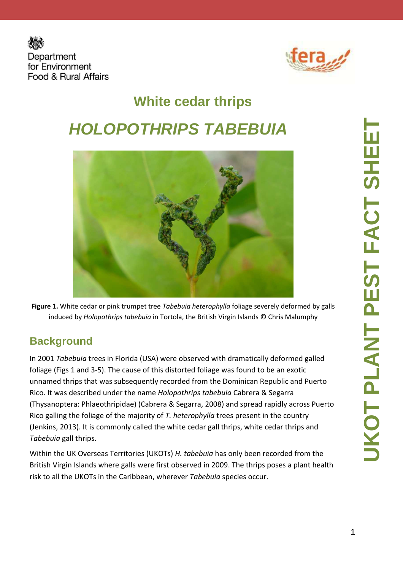



# **White cedar thrips HOLOPOTHRIPS TABEBUIA**



**Figure 1.** White cedar or pink trumpet tree *Tabebuia heterophylla* foliage severely deformed by galls induced by *Holopothrips tabebuia* in Tortola, the British Virgin Islands © Chris Malumphy

#### **Background**

In 2001 *Tabebuia* trees in Florida (USA) were observed with dramatically deformed galled foliage (Figs 1 and 3-5). The cause of this distorted foliage was found to be an exotic unnamed thrips that was subsequently recorded from the Dominican Republic and Puerto Rico. It was described under the name *Holopothrips tabebuia* Cabrera & Segarra (Thysanoptera: Phlaeothripidae) (Cabrera & Segarra, 2008) and spread rapidly across Puerto Rico galling the foliage of the majority of *T. heterophylla* trees present in the country (Jenkins, 2013). It is commonly called the white cedar gall thrips, white cedar thrips and *Tabebuia* gall thrips.

Within the UK Overseas Territories (UKOTs) *H. tabebuia* has only been recorded from the British Virgin Islands where galls were first observed in 2009. The thrips poses a plant health risk to all the UKOTs in the Caribbean, wherever *Tabebuia* species occur.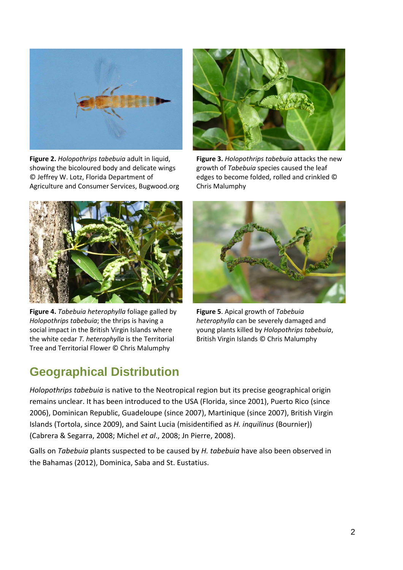

**Figure 2.** *Holopothrips tabebuia* adult in liquid, showing the bicoloured body and delicate wings © Jeffrey W. Lotz, Florida Department of Agriculture and Consumer Services, Bugwood.org



**Figure 3.** *Holopothrips tabebuia* attacks the new growth of *Tabebuia* species caused the leaf edges to become folded, rolled and crinkled © Chris Malumphy



**Figure 4.** *Tabebuia heterophylla* foliage galled by *Holopothrips tabebuia*; the thrips is having a social impact in the British Virgin Islands where the white cedar *T. heterophylla* is the Territorial Tree and Territorial Flower © Chris Malumphy



**Figure 5**. Apical growth of *Tabebuia heterophylla* can be severely damaged and young plants killed by *Holopothrips tabebuia*, British Virgin Islands © Chris Malumphy

#### **Geographical Distribution**

*Holopothrips tabebuia* is native to the Neotropical region but its precise geographical origin remains unclear. It has been introduced to the USA (Florida, since 2001), Puerto Rico (since 2006), Dominican Republic, Guadeloupe (since 2007), Martinique (since 2007), British Virgin Islands (Tortola, since 2009), and Saint Lucia (misidentified as *H. inquilinus* (Bournier)) (Cabrera & Segarra, 2008; Michel *et al*., 2008; Jn Pierre, 2008).

Galls on *Tabebuia* plants suspected to be caused by *H. tabebuia* have also been observed in the Bahamas (2012), Dominica, Saba and St. Eustatius.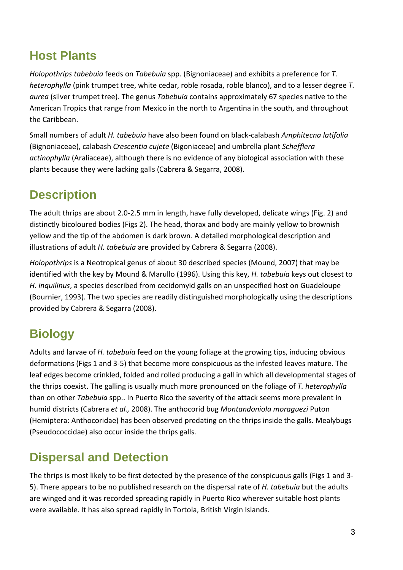#### **Host Plants**

*Holopothrips tabebuia* feeds on *Tabebuia* spp. (Bignoniaceae) and exhibits a preference for *T. heterophylla* (pink trumpet tree, white cedar, roble rosada, roble blanco), and to a lesser degree *T. aurea* (silver trumpet tree). The genus *Tabebuia* contains approximately 67 species native to the American Tropics that range from Mexico in the north to Argentina in the south, and throughout the Caribbean.

Small numbers of adult *H. tabebuia* have also been found on black-calabash *Amphitecna latifolia* (Bignoniaceae), calabash *Crescentia cujete* (Bigoniaceae) and umbrella plant *Schefflera actinophylla* (Araliaceae), although there is no evidence of any biological association with these plants because they were lacking galls (Cabrera & Segarra, 2008).

### **Description**

The adult thrips are about 2.0-2.5 mm in length, have fully developed, delicate wings (Fig. 2) and distinctly bicoloured bodies (Figs 2). The head, thorax and body are mainly yellow to brownish yellow and the tip of the abdomen is dark brown. A detailed morphological description and illustrations of adult *H. tabebuia* are provided by Cabrera & Segarra (2008).

*Holopothrips* is a Neotropical genus of about 30 described species (Mound, 2007) that may be identified with the key by Mound & Marullo (1996). Using this key, *H. tabebuia* keys out closest to *H. inquilinus*, a species described from cecidomyid galls on an unspecified host on Guadeloupe (Bournier, 1993). The two species are readily distinguished morphologically using the descriptions provided by Cabrera & Segarra (2008).

# **Biology**

Adults and larvae of *H. tabebuia* feed on the young foliage at the growing tips, inducing obvious deformations (Figs 1 and 3-5) that become more conspicuous as the infested leaves mature. The leaf edges become crinkled, folded and rolled producing a gall in which all developmental stages of the thrips coexist. The galling is usually much more pronounced on the foliage of *T. heterophylla*  than on other *Tabebuia* spp.. In Puerto Rico the severity of the attack seems more prevalent in humid districts (Cabrera *et al.,* 2008). The anthocorid bug *Montandoniola moraguezi* Puton (Hemiptera: Anthocoridae) has been observed predating on the thrips inside the galls. Mealybugs (Pseudococcidae) also occur inside the thrips galls.

#### **Dispersal and Detection**

The thrips is most likely to be first detected by the presence of the conspicuous galls (Figs 1 and 3- 5). There appears to be no published research on the dispersal rate of *H. tabebuia* but the adults are winged and it was recorded spreading rapidly in Puerto Rico wherever suitable host plants were available. It has also spread rapidly in Tortola, British Virgin Islands.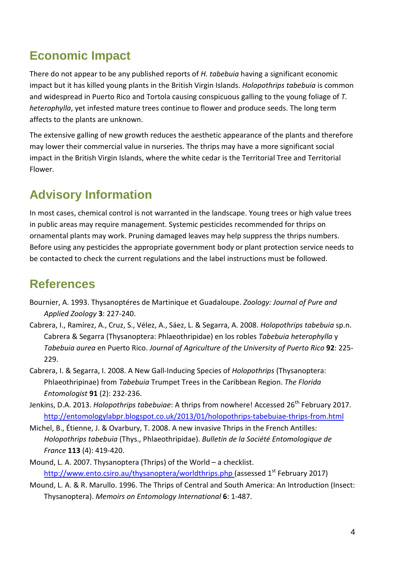#### **Economic Impact**

There do not appear to be any published reports of *H. tabebuia* having a significant economic impact but it has killed young plants in the British Virgin Islands. *Holopothrips tabebuia* is common and widespread in Puerto Rico and Tortola causing conspicuous galling to the young foliage of *T. heterophylla*, yet infested mature trees continue to flower and produce seeds. The long term affects to the plants are unknown.

The extensive galling of new growth reduces the aesthetic appearance of the plants and therefore may lower their commercial value in nurseries. The thrips may have a more significant social impact in the British Virgin Islands, where the white cedar is the Territorial Tree and Territorial Flower.

## **Advisory Information**

In most cases, chemical control is not warranted in the landscape. Young trees or high value trees in public areas may require management. Systemic pesticides recommended for thrips on ornamental plants may work. Pruning damaged leaves may help suppress the thrips numbers. Before using any pesticides the appropriate government body or plant protection service needs to be contacted to check the current regulations and the label instructions must be followed.

#### **References**

- Bournier, A. 1993. Thysanoptéres de Martinique et Guadaloupe. *Zoology: Journal of Pure and Applied Zoology* **3**: 227-240.
- Cabrera, I., Ramírez, A., Cruz, S., Vélez, A., Sáez, L. & Segarra, A. 2008. *Holopothrips tabebuia* sp.n. Cabrera & Segarra (Thysanoptera: Phlaeothripidae) en los robles *Tabebuia heterophylla* y *Tabebuia aurea* en Puerto Rico. *Journal of Agriculture of the University of Puerto Rico* **92**: 225- 229.
- Cabrera, I. & Segarra, I. 2008. A New Gall-Inducing Species of *Holopothrips* (Thysanoptera: Phlaeothripinae) from *Tabebuia* Trumpet Trees in the Caribbean Region. *The Florida Entomologist* **91** (2): 232-236.
- Jenkins, D.A. 2013. *Holopothrips tabebuiae*: A thrips from nowhere! Accessed 26<sup>th</sup> February 2017. http://entomologylabpr.blogspot.co.uk/2013/01/holopothrips-tabebuiae-thrips-from.html
- Michel, B., Étienne, J. & Ovarbury, T. 2008. A new invasive Thrips in the French Antilles: *Holopothrips tabebuia* (Thys., Phlaeothripidae). *Bulletin de la Société Entomologique de France* **113** (4): 419-420.
- Mound, L. A. 2007. Thysanoptera (Thrips) of the World a checklist. http://www.ento.csiro.au/thysanoptera/worldthrips.php (assessed 1<sup>st</sup> February 2017)
- Mound, L. A. & R. Marullo. 1996. The Thrips of Central and South America: An Introduction (Insect: Thysanoptera). *Memoirs on Entomology International* **6**: 1-487.